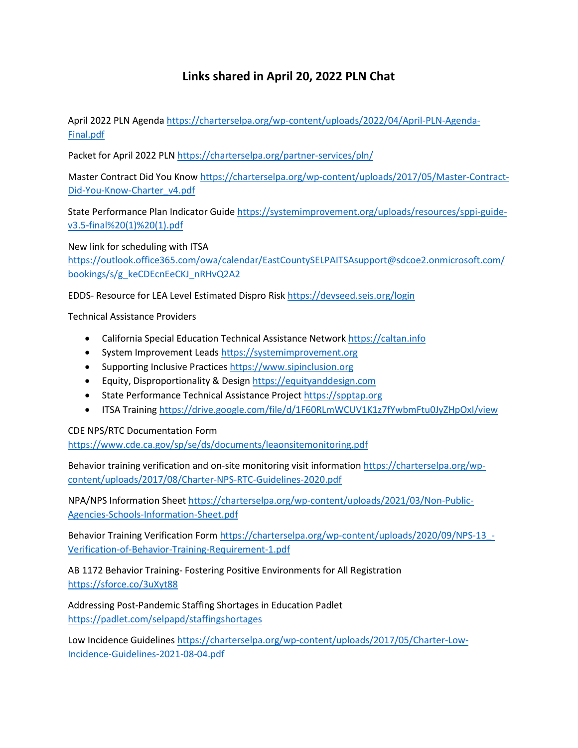## **Links shared in April 20, 2022 PLN Chat**

April 2022 PLN Agend[a https://charterselpa.org/wp-content/uploads/2022/04/April-PLN-Agenda-](https://charterselpa.org/wp-content/uploads/2022/04/April-PLN-Agenda-Final.pdf)[Final.pdf](https://charterselpa.org/wp-content/uploads/2022/04/April-PLN-Agenda-Final.pdf)

Packet for April 2022 PLN <https://charterselpa.org/partner-services/pln/>

Master Contract Did You Know https://charterselpa.org/wp-content/uploads/2017/05/Master-Contract-Did-You-Know-Charter\_v4.pdf

State Performance Plan Indicator Guide [https://systemimprovement.org/uploads/resources/sppi-guide](https://systemimprovement.org/uploads/resources/sppi-guide-v3.5-final%20(1)%20(1).pdf)[v3.5-final%20\(1\)%20\(1\).pdf](https://systemimprovement.org/uploads/resources/sppi-guide-v3.5-final%20(1)%20(1).pdf)

New link for scheduling with ITSA [https://outlook.office365.com/owa/calendar/EastCountySELPAITSAsupport@sdcoe2.onmicrosoft.com/](https://outlook.office365.com/owa/calendar/EastCountySELPAITSAsupport@sdcoe2.onmicrosoft.com/bookings/s/g_keCDEcnEeCKJ_nRHvQ2A2) [bookings/s/g\\_keCDEcnEeCKJ\\_nRHvQ2A2](https://outlook.office365.com/owa/calendar/EastCountySELPAITSAsupport@sdcoe2.onmicrosoft.com/bookings/s/g_keCDEcnEeCKJ_nRHvQ2A2)

EDDS- Resource for LEA Level Estimated Dispro Ris[k https://devseed.seis.org/login](https://devseed.seis.org/login)

Technical Assistance Providers

- California Special Education Technical Assistance Network [https://caltan.info](https://caltan.info/)
- System Improvement Leads [https://systemimprovement.org](https://systemimprovement.org/)
- Supporting Inclusive Practice[s https://www.sipinclusion.org](https://www.sipinclusion.org/)
- Equity, Disproportionality & Desig[n https://equityanddesign.com](https://equityanddesign.com/)
- State Performance Technical Assistance Project [https://spptap.org](https://spptap.org/)
- ITSA Training<https://drive.google.com/file/d/1F60RLmWCUV1K1z7fYwbmFtu0JyZHpOxI/view>

CDE NPS/RTC Documentation Form

<https://www.cde.ca.gov/sp/se/ds/documents/leaonsitemonitoring.pdf>

Behavior training verification and on-site monitoring visit information [https://charterselpa.org/wp](https://charterselpa.org/wp-content/uploads/2017/08/Charter-NPS-RTC-Guidelines-2020.pdf)[content/uploads/2017/08/Charter-NPS-RTC-Guidelines-2020.pdf](https://charterselpa.org/wp-content/uploads/2017/08/Charter-NPS-RTC-Guidelines-2020.pdf)

NPA/NPS Information Sheet [https://charterselpa.org/wp-content/uploads/2021/03/Non-Public-](https://charterselpa.org/wp-content/uploads/2021/03/Non-Public-Agencies-Schools-Information-Sheet.pdf)[Agencies-Schools-Information-Sheet.pdf](https://charterselpa.org/wp-content/uploads/2021/03/Non-Public-Agencies-Schools-Information-Sheet.pdf)

Behavior Training Verification Form [https://charterselpa.org/wp-content/uploads/2020/09/NPS-13\\_-](https://charterselpa.org/wp-content/uploads/2020/09/NPS-13_-Verification-of-Behavior-Training-Requirement-1.pdf) [Verification-of-Behavior-Training-Requirement-1.pdf](https://charterselpa.org/wp-content/uploads/2020/09/NPS-13_-Verification-of-Behavior-Training-Requirement-1.pdf)

AB 1172 Behavior Training- Fostering Positive Environments for All Registration <https://sforce.co/3uXyt88>

Addressing Post-Pandemic Staffing Shortages in Education Padlet <https://padlet.com/selpapd/staffingshortages>

Low Incidence Guideline[s https://charterselpa.org/wp-content/uploads/2017/05/Charter-Low-](https://charterselpa.org/wp-content/uploads/2017/05/Charter-Low-Incidence-Guidelines-2021-08-04.pdf)[Incidence-Guidelines-2021-08-04.pdf](https://charterselpa.org/wp-content/uploads/2017/05/Charter-Low-Incidence-Guidelines-2021-08-04.pdf)